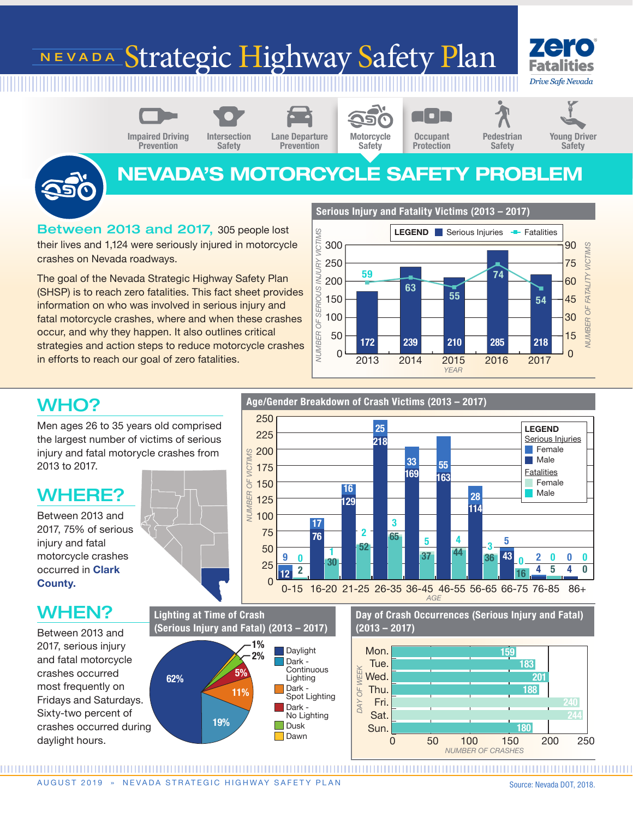# NEVADA Strategic Highway Safety Plan



**Prevention** 



Intersection Safety



Prevention



**Occupant Protection** 

 $\blacksquare$ 

## Young Driver **Safety**



NEVADA'S MOTORCYCLE SAFETY PROBLEM

Between 2013 and 2017, 305 people lost their lives and 1,124 were seriously injured in motorcycle crashes on Nevada roadways.

The goal of the Nevada Strategic Highway Safety Plan (SHSP) is to reach zero fatalities. This fact sheet provides information on who was involved in serious injury and fatal motorcycle crashes, where and when these crashes occur, and why they happen. It also outlines critical strategies and action steps to reduce motorcycle crashes in efforts to reach our goal of zero fatalities.



*YEAR*

## WHO?

Men ages 26 to 35 years old comprised the largest number of victims of serious injury and fatal motorycle crashes from 2013 to 2017.

## WHERE?

Between 2013 and 2017, 75% of serious injury and fatal motorcycle crashes occurred in Clark County.

## WHEN?

Between 2013 and 2017, serious injury and fatal motorcycle crashes occurred most frequently on Fridays and Saturdays. Sixty-two percent of crashes occurred during daylight hours.

Lighting at Time of Crash (Serious Injury and Fatal) (2013 – 2017) 62% 19% 11% 5% 1%  $2\%$  Daylight Dark - Continuous Lighting Dark - Spot Lighting Dark - No Lighting Dusk **Dawn** 

### Age/Gender Breakdown of Crash Victims (2013 – 2017)



*AGE* 0-15 16-20 21-25 26-35 36-45 46-55 56-65 66-75 76-85 86+

> Day of Crash Occurrences (Serious Injury and Fatal) (2013 – 2017)



AUGUST 2019 » NEVADA STRATEGIC HIGHWAY SAFETY PLAN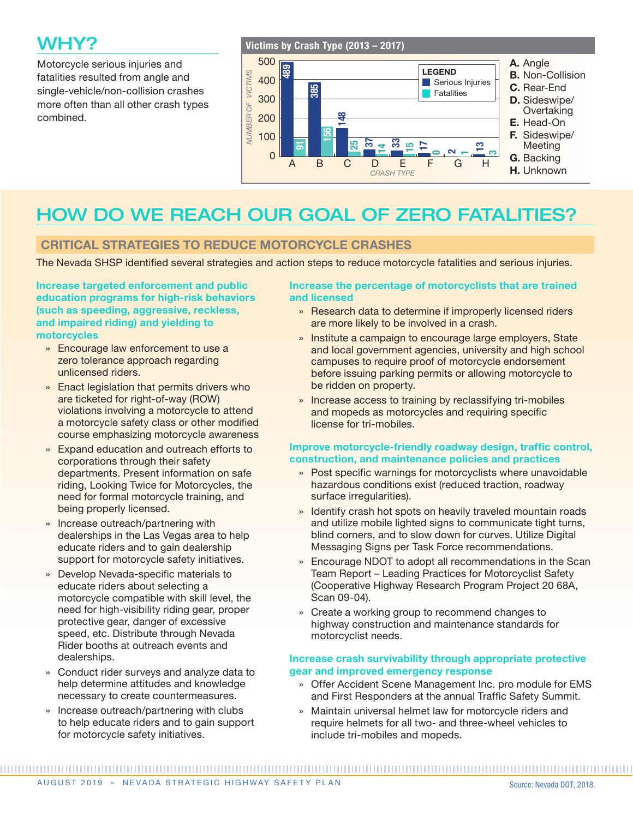## WHY?

Motorcycle serious injuries and fatalities resulted from angle and single-vehicle/non-collision crashes more often than all other crash types combined.

### Victims by Crash Type (2013 – 2017) 500 A. Angle <u>නු</u> LEGEND**VUMBER OF VICTIMS** B. Non-Collision  *NUMBER OF VICTIMS* 400 Serious Injuries 385 C. Rear-End Fatalities 300 D. Sideswipe/ **Overtaking** 200 148 E. Head-On 156 F. Sideswipe/ 100 37 33 ನಿ 13 **Meeting** ౚ 17 15 14  $\Omega$ ่ 0 ო  $\overline{\phantom{a}}$ G. Backing  $A$  B C  $D$  E F G H **G** B B D B D ACKING *CRASH TYPE*

## HOW DO WE REACH OUR GOAL OF ZERO FATALITIES?

### CRITICAL STRATEGIES TO REDUCE MOTORCYCLE CRASHES

The Nevada SHSP identified several strategies and action steps to reduce motorcycle fatalities and serious injuries.

Increase targeted enforcement and public education programs for high-risk behaviors (such as speeding, aggressive, reckless, and impaired riding) and yielding to motorcycles

- » Encourage law enforcement to use a zero tolerance approach regarding unlicensed riders.
- » Enact legislation that permits drivers who are ticketed for right-of-way (ROW) violations involving a motorcycle to attend a motorcycle safety class or other modified course emphasizing motorcycle awareness
- » Expand education and outreach efforts to corporations through their safety departments. Present information on safe riding, Looking Twice for Motorcycles, the need for formal motorcycle training, and being properly licensed.
- » Increase outreach/partnering with dealerships in the Las Vegas area to help educate riders and to gain dealership support for motorcycle safety initiatives.
- » Develop Nevada-specific materials to educate riders about selecting a motorcycle compatible with skill level, the need for high-visibility riding gear, proper protective gear, danger of excessive speed, etc. Distribute through Nevada Rider booths at outreach events and dealerships.
- » Conduct rider surveys and analyze data to help determine attitudes and knowledge necessary to create countermeasures.
- » Increase outreach/partnering with clubs to help educate riders and to gain support for motorcycle safety initiatives.

### Increase the percentage of motorcyclists that are trained and licensed

- » Research data to determine if improperly licensed riders are more likely to be involved in a crash.
- » Institute a campaign to encourage large employers, State and local government agencies, university and high school campuses to require proof of motorcycle endorsement before issuing parking permits or allowing motorcycle to be ridden on property.
- » Increase access to training by reclassifying tri-mobiles and mopeds as motorcycles and requiring specific license for tri-mobiles.

### Improve motorcycle-friendly roadway design, traffic control, construction, and maintenance policies and practices

- » Post specific warnings for motorcyclists where unavoidable hazardous conditions exist (reduced traction, roadway surface irregularities).
- » Identify crash hot spots on heavily traveled mountain roads and utilize mobile lighted signs to communicate tight turns, blind corners, and to slow down for curves. Utilize Digital Messaging Signs per Task Force recommendations.
- » Encourage NDOT to adopt all recommendations in the Scan Team Report – Leading Practices for Motorcyclist Safety (Cooperative Highway Research Program Project 20 68A, Scan 09-04).
- » Create a working group to recommend changes to highway construction and maintenance standards for motorcyclist needs.

### Increase crash survivability through appropriate protective gear and improved emergency response

- » Offer Accident Scene Management Inc. pro module for EMS and First Responders at the annual Traffic Safety Summit.
- » Maintain universal helmet law for motorcycle riders and require helmets for all two- and three-wheel vehicles to include tri-mobiles and mopeds.